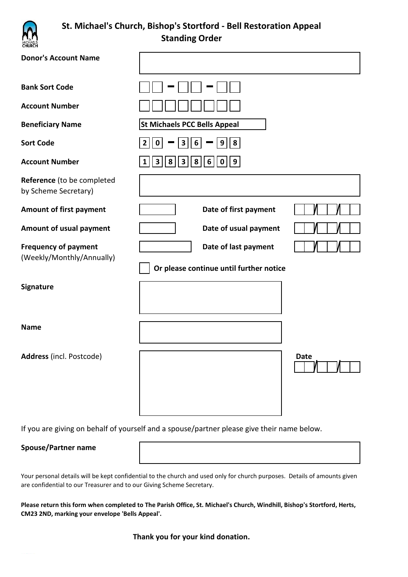

## **St. Michael's Church, Bishop's Stortford - Bell Restoration Appeal Standing Order**

| <b>Donor's Account Name</b>                              |                                                                                                     |      |
|----------------------------------------------------------|-----------------------------------------------------------------------------------------------------|------|
| <b>Bank Sort Code</b>                                    |                                                                                                     |      |
| <b>Account Number</b>                                    |                                                                                                     |      |
| <b>Beneficiary Name</b>                                  | <b>St Michaels PCC Bells Appeal</b>                                                                 |      |
| <b>Sort Code</b>                                         | $\boldsymbol{6}$<br>9 <sup>1</sup><br>8<br>$\overline{\mathbf{3}}$<br>$\overline{2}$<br>$\mathbf 0$ |      |
| <b>Account Number</b>                                    | $6 \mid$<br>9<br>8<br>3<br>8<br>$\mathbf{0}$<br>$\mathbf{3}$                                        |      |
| Reference (to be completed<br>by Scheme Secretary)       |                                                                                                     |      |
| <b>Amount of first payment</b>                           | Date of first payment                                                                               |      |
| Amount of usual payment                                  | Date of usual payment                                                                               |      |
| <b>Frequency of payment</b><br>(Weekly/Monthly/Annually) | Date of last payment<br>Or please continue until further notice                                     |      |
| Signature                                                |                                                                                                     |      |
| <b>Name</b>                                              |                                                                                                     |      |
| Address (incl. Postcode)                                 |                                                                                                     | Date |

If you are giving on behalf of yourself and a spouse/partner please give their name below.

## **Spouse/Partner name**

Your personal details will be kept confidential to the church and used only for church purposes. Details of amounts given are confidential to our Treasurer and to our Giving Scheme Secretary.

**Please return this form when completed to The Parish Office, St. Michael's Church, Windhill, Bishop's Stortford, Herts, CM23 2ND, marking your envelope 'Bells Appeal'.**

**Thank you for your kind donation.**